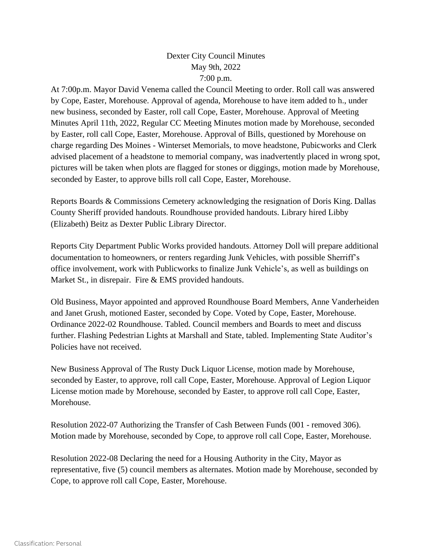## Dexter City Council Minutes May 9th, 2022 7:00 p.m.

At 7:00p.m. Mayor David Venema called the Council Meeting to order. Roll call was answered by Cope, Easter, Morehouse. Approval of agenda, Morehouse to have item added to h., under new business, seconded by Easter, roll call Cope, Easter, Morehouse. Approval of Meeting Minutes April 11th, 2022, Regular CC Meeting Minutes motion made by Morehouse, seconded by Easter, roll call Cope, Easter, Morehouse. Approval of Bills, questioned by Morehouse on charge regarding Des Moines - Winterset Memorials, to move headstone, Pubicworks and Clerk advised placement of a headstone to memorial company, was inadvertently placed in wrong spot, pictures will be taken when plots are flagged for stones or diggings, motion made by Morehouse, seconded by Easter, to approve bills roll call Cope, Easter, Morehouse.

Reports Boards & Commissions Cemetery acknowledging the resignation of Doris King. Dallas County Sheriff provided handouts. Roundhouse provided handouts. Library hired Libby (Elizabeth) Beitz as Dexter Public Library Director.

Reports City Department Public Works provided handouts. Attorney Doll will prepare additional documentation to homeowners, or renters regarding Junk Vehicles, with possible Sherriff's office involvement, work with Publicworks to finalize Junk Vehicle's, as well as buildings on Market St., in disrepair. Fire & EMS provided handouts.

Old Business, Mayor appointed and approved Roundhouse Board Members, Anne Vanderheiden and Janet Grush, motioned Easter, seconded by Cope. Voted by Cope, Easter, Morehouse. Ordinance 2022-02 Roundhouse. Tabled. Council members and Boards to meet and discuss further. Flashing Pedestrian Lights at Marshall and State, tabled. Implementing State Auditor's Policies have not received.

New Business Approval of The Rusty Duck Liquor License, motion made by Morehouse, seconded by Easter, to approve, roll call Cope, Easter, Morehouse. Approval of Legion Liquor License motion made by Morehouse, seconded by Easter, to approve roll call Cope, Easter, Morehouse.

Resolution 2022-07 Authorizing the Transfer of Cash Between Funds (001 - removed 306). Motion made by Morehouse, seconded by Cope, to approve roll call Cope, Easter, Morehouse.

Resolution 2022-08 Declaring the need for a Housing Authority in the City, Mayor as representative, five (5) council members as alternates. Motion made by Morehouse, seconded by Cope, to approve roll call Cope, Easter, Morehouse.